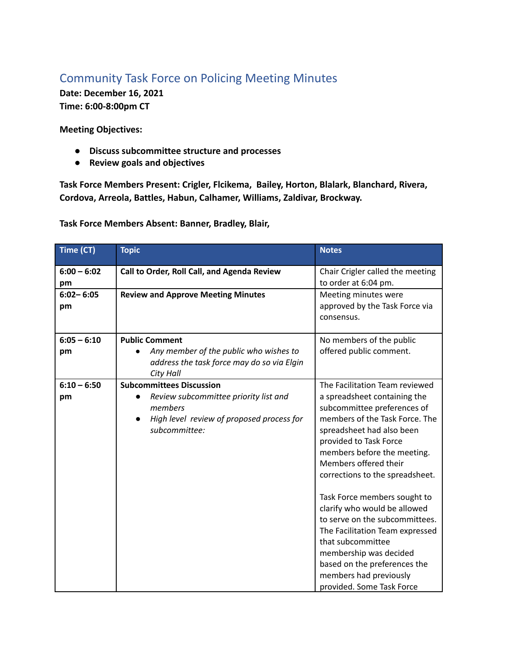## Community Task Force on Policing Meeting Minutes

**Date: December 16, 2021 Time: 6:00-8:00pm CT**

**Meeting Objectives:**

- **● Discuss subcommittee structure and processes**
- **● Review goals and objectives**

**Task Force Members Present: Crigler, Flcikema, Bailey, Horton, Blalark, Blanchard, Rivera, Cordova, Arreola, Battles, Habun, Calhamer, Williams, Zaldivar, Brockway.**

**Task Force Members Absent: Banner, Bradley, Blair,**

| Time (CT)           | <b>Topic</b>                                                                                                                | <b>Notes</b>                                                                                                                                                                                                                                                            |
|---------------------|-----------------------------------------------------------------------------------------------------------------------------|-------------------------------------------------------------------------------------------------------------------------------------------------------------------------------------------------------------------------------------------------------------------------|
| $6:00 - 6:02$<br>pm | Call to Order, Roll Call, and Agenda Review                                                                                 | Chair Crigler called the meeting<br>to order at 6:04 pm.                                                                                                                                                                                                                |
| $6:02 - 6:05$<br>pm | <b>Review and Approve Meeting Minutes</b>                                                                                   | Meeting minutes were<br>approved by the Task Force via<br>consensus.                                                                                                                                                                                                    |
| $6:05 - 6:10$       | <b>Public Comment</b>                                                                                                       | No members of the public                                                                                                                                                                                                                                                |
| pm                  | Any member of the public who wishes to<br>address the task force may do so via Elgin<br><b>City Hall</b>                    | offered public comment.                                                                                                                                                                                                                                                 |
| $6:10 - 6:50$       | <b>Subcommittees Discussion</b>                                                                                             | The Facilitation Team reviewed                                                                                                                                                                                                                                          |
| pm                  | Review subcommittee priority list and<br>members<br>High level review of proposed process for<br>$\bullet$<br>subcommittee: | a spreadsheet containing the<br>subcommittee preferences of<br>members of the Task Force. The<br>spreadsheet had also been<br>provided to Task Force<br>members before the meeting.<br>Members offered their<br>corrections to the spreadsheet.                         |
|                     |                                                                                                                             | Task Force members sought to<br>clarify who would be allowed<br>to serve on the subcommittees.<br>The Facilitation Team expressed<br>that subcommittee<br>membership was decided<br>based on the preferences the<br>members had previously<br>provided. Some Task Force |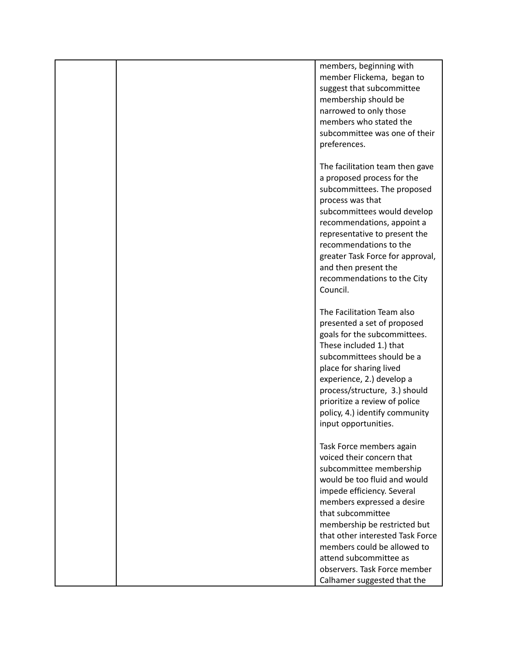|  | members, beginning with<br>member Flickema, began to<br>suggest that subcommittee<br>membership should be<br>narrowed to only those<br>members who stated the<br>subcommittee was one of their<br>preferences.                                                                                                                                                                                |
|--|-----------------------------------------------------------------------------------------------------------------------------------------------------------------------------------------------------------------------------------------------------------------------------------------------------------------------------------------------------------------------------------------------|
|  | The facilitation team then gave<br>a proposed process for the<br>subcommittees. The proposed<br>process was that<br>subcommittees would develop<br>recommendations, appoint a<br>representative to present the<br>recommendations to the<br>greater Task Force for approval,<br>and then present the<br>recommendations to the City<br>Council.                                               |
|  | The Facilitation Team also<br>presented a set of proposed<br>goals for the subcommittees.<br>These included 1.) that<br>subcommittees should be a<br>place for sharing lived<br>experience, 2.) develop a<br>process/structure, 3.) should<br>prioritize a review of police<br>policy, 4.) identify community<br>input opportunities.                                                         |
|  | Task Force members again<br>voiced their concern that<br>subcommittee membership<br>would be too fluid and would<br>impede efficiency. Several<br>members expressed a desire<br>that subcommittee<br>membership be restricted but<br>that other interested Task Force<br>members could be allowed to<br>attend subcommittee as<br>observers. Task Force member<br>Calhamer suggested that the |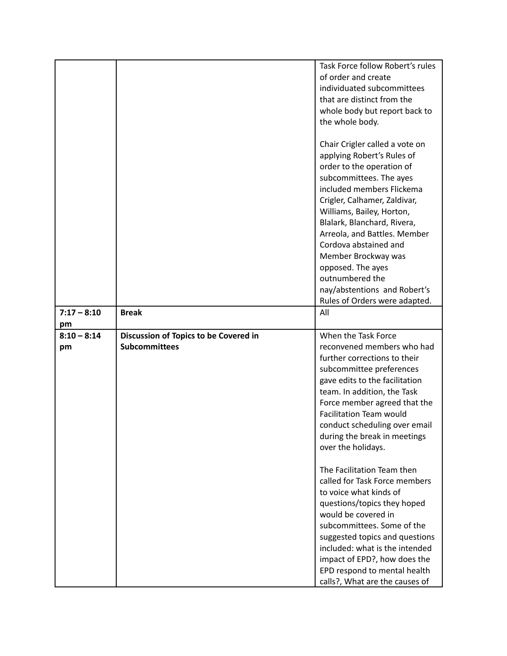|                     |                                                               | Task Force follow Robert's rules<br>of order and create<br>individuated subcommittees<br>that are distinct from the<br>whole body but report back to<br>the whole body.                                                                                                                                                                                                                                                                |
|---------------------|---------------------------------------------------------------|----------------------------------------------------------------------------------------------------------------------------------------------------------------------------------------------------------------------------------------------------------------------------------------------------------------------------------------------------------------------------------------------------------------------------------------|
|                     |                                                               | Chair Crigler called a vote on<br>applying Robert's Rules of<br>order to the operation of<br>subcommittees. The ayes<br>included members Flickema<br>Crigler, Calhamer, Zaldivar,<br>Williams, Bailey, Horton,<br>Blalark, Blanchard, Rivera,<br>Arreola, and Battles. Member<br>Cordova abstained and<br>Member Brockway was<br>opposed. The ayes<br>outnumbered the<br>nay/abstentions and Robert's<br>Rules of Orders were adapted. |
| $7:17 - 8:10$<br>pm | <b>Break</b>                                                  | All                                                                                                                                                                                                                                                                                                                                                                                                                                    |
| $8:10 - 8:14$<br>pm | Discussion of Topics to be Covered in<br><b>Subcommittees</b> | When the Task Force<br>reconvened members who had<br>further corrections to their<br>subcommittee preferences<br>gave edits to the facilitation<br>team. In addition, the Task<br>Force member agreed that the<br><b>Facilitation Team would</b><br>conduct scheduling over email<br>during the break in meetings<br>over the holidays.                                                                                                |
|                     |                                                               | The Facilitation Team then<br>called for Task Force members<br>to voice what kinds of<br>questions/topics they hoped<br>would be covered in<br>subcommittees. Some of the<br>suggested topics and questions<br>included: what is the intended<br>impact of EPD?, how does the<br>EPD respond to mental health<br>calls?, What are the causes of                                                                                        |